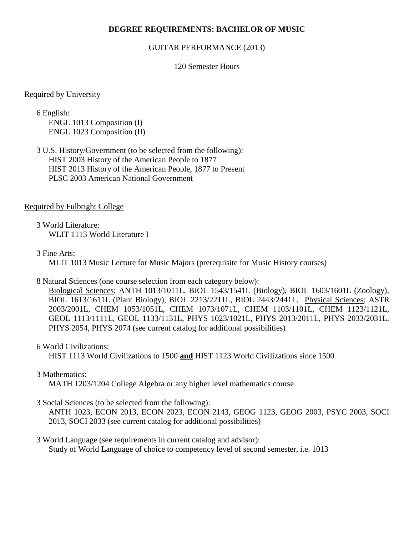## **DEGREE REQUIREMENTS: BACHELOR OF MUSIC**

#### GUITAR PERFORMANCE (2013)

### 120 Semester Hours

#### Required by University

6 English: ENGL 1013 Composition (I) ENGL 1023 Composition (II)

3 U.S. History/Government (to be selected from the following): HIST 2003 History of the American People to 1877 HIST 2013 History of the American People, 1877 to Present PLSC 2003 American National Government

#### Required by Fulbright College

3 World Literature: WLIT 1113 World Literature I

#### 3 Fine Arts:

MLIT 1013 Music Lecture for Music Majors (prerequisite for Music History courses)

#### 8 Natural Sciences (one course selection from each category below):

Biological Sciences; ANTH 1013/1011L, BIOL 1543/1541L (Biology), BIOL 1603/1601L (Zoology), BIOL 1613/1611L (Plant Biology), BIOL 2213/2211L, BIOL 2443/2441L, Physical Sciences; ASTR 2003/2001L, CHEM 1053/1051L, CHEM 1073/1071L, CHEM 1103/1101L, CHEM 1123/1121L, GEOL 1113/1111L, GEOL 1133/1131L, PHYS 1023/1021L, PHYS 2013/2011L, PHYS 2033/2031L, PHYS 2054, PHYS 2074 (see current catalog for additional possibilities)

#### 6 World Civilizations:

HIST 1113 World Civilizations to 1500 **and** HIST 1123 World Civilizations since 1500

## 3 Mathematics:

MATH 1203/1204 College Algebra or any higher level mathematics course

## 3 Social Sciences (to be selected from the following):

ANTH 1023, ECON 2013, ECON 2023, ECON 2143, GEOG 1123, GEOG 2003, PSYC 2003, SOCI 2013, SOCI 2033 (see current catalog for additional possibilities)

### 3 World Language (see requirements in current catalog and advisor): Study of World Language of choice to competency level of second semester, i.e. 1013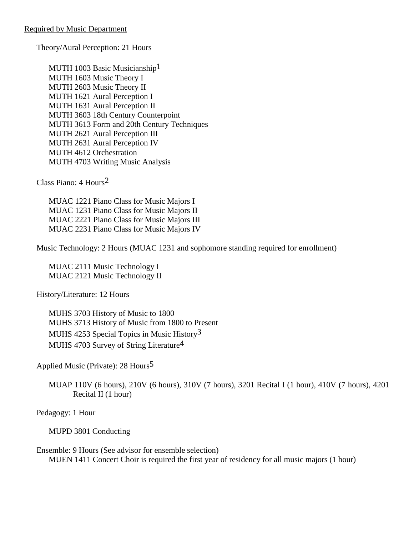Theory/Aural Perception: 21 Hours

MUTH 1003 Basic Musicianship<sup>1</sup> MUTH 1603 Music Theory I MUTH 2603 Music Theory II MUTH 1621 Aural Perception I MUTH 1631 Aural Perception II MUTH 3603 18th Century Counterpoint MUTH 3613 Form and 20th Century Techniques MUTH 2621 Aural Perception III MUTH 2631 Aural Perception IV MUTH 4612 Orchestration MUTH 4703 Writing Music Analysis

Class Piano: 4 Hours2

MUAC 1221 Piano Class for Music Majors I MUAC 1231 Piano Class for Music Majors II MUAC 2221 Piano Class for Music Majors III MUAC 2231 Piano Class for Music Majors IV

Music Technology: 2 Hours (MUAC 1231 and sophomore standing required for enrollment)

MUAC 2111 Music Technology I MUAC 2121 Music Technology II

History/Literature: 12 Hours

MUHS 3703 History of Music to 1800 MUHS 3713 History of Music from 1800 to Present MUHS 4253 Special Topics in Music History<sup>3</sup> MUHS 4703 Survey of String Literature<sup>4</sup>

Applied Music (Private): 28 Hours5

MUAP 110V (6 hours), 210V (6 hours), 310V (7 hours), 3201 Recital I (1 hour), 410V (7 hours), 4201 Recital II (1 hour)

Pedagogy: 1 Hour

MUPD 3801 Conducting

Ensemble: 9 Hours (See advisor for ensemble selection) MUEN 1411 Concert Choir is required the first year of residency for all music majors (1 hour)